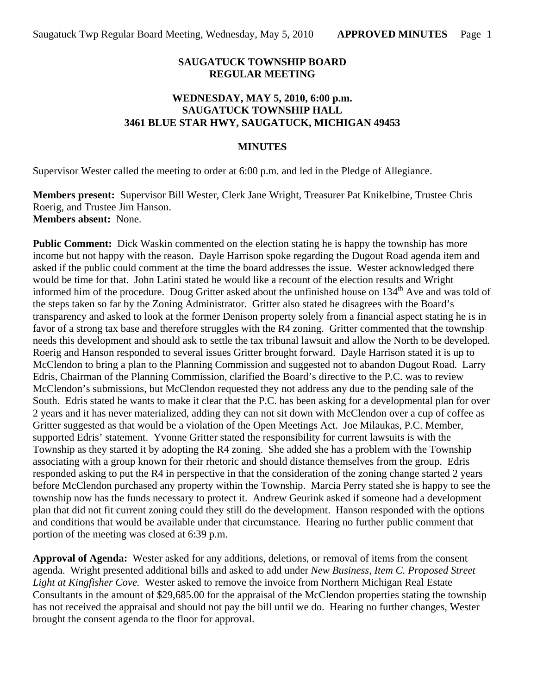### **SAUGATUCK TOWNSHIP BOARD REGULAR MEETING**

### **WEDNESDAY, MAY 5, 2010, 6:00 p.m. SAUGATUCK TOWNSHIP HALL 3461 BLUE STAR HWY, SAUGATUCK, MICHIGAN 49453**

#### **MINUTES**

Supervisor Wester called the meeting to order at 6:00 p.m. and led in the Pledge of Allegiance.

**Members present:** Supervisor Bill Wester, Clerk Jane Wright, Treasurer Pat Knikelbine, Trustee Chris Roerig, and Trustee Jim Hanson. **Members absent:** None.

**Public Comment:** Dick Waskin commented on the election stating he is happy the township has more income but not happy with the reason. Dayle Harrison spoke regarding the Dugout Road agenda item and asked if the public could comment at the time the board addresses the issue. Wester acknowledged there would be time for that. John Latini stated he would like a recount of the election results and Wright informed him of the procedure. Doug Gritter asked about the unfinished house on 134<sup>th</sup> Ave and was told of the steps taken so far by the Zoning Administrator. Gritter also stated he disagrees with the Board's transparency and asked to look at the former Denison property solely from a financial aspect stating he is in favor of a strong tax base and therefore struggles with the R4 zoning. Gritter commented that the township needs this development and should ask to settle the tax tribunal lawsuit and allow the North to be developed. Roerig and Hanson responded to several issues Gritter brought forward. Dayle Harrison stated it is up to McClendon to bring a plan to the Planning Commission and suggested not to abandon Dugout Road. Larry Edris, Chairman of the Planning Commission, clarified the Board's directive to the P.C. was to review McClendon's submissions, but McClendon requested they not address any due to the pending sale of the South. Edris stated he wants to make it clear that the P.C. has been asking for a developmental plan for over 2 years and it has never materialized, adding they can not sit down with McClendon over a cup of coffee as Gritter suggested as that would be a violation of the Open Meetings Act. Joe Milaukas, P.C. Member, supported Edris' statement. Yvonne Gritter stated the responsibility for current lawsuits is with the Township as they started it by adopting the R4 zoning. She added she has a problem with the Township associating with a group known for their rhetoric and should distance themselves from the group. Edris responded asking to put the R4 in perspective in that the consideration of the zoning change started 2 years before McClendon purchased any property within the Township. Marcia Perry stated she is happy to see the township now has the funds necessary to protect it. Andrew Geurink asked if someone had a development plan that did not fit current zoning could they still do the development. Hanson responded with the options and conditions that would be available under that circumstance. Hearing no further public comment that portion of the meeting was closed at 6:39 p.m.

**Approval of Agenda:** Wester asked for any additions, deletions, or removal of items from the consent agenda. Wright presented additional bills and asked to add under *New Business, Item C. Proposed Street Light at Kingfisher Cove.* Wester asked to remove the invoice from Northern Michigan Real Estate Consultants in the amount of \$29,685.00 for the appraisal of the McClendon properties stating the township has not received the appraisal and should not pay the bill until we do. Hearing no further changes, Wester brought the consent agenda to the floor for approval.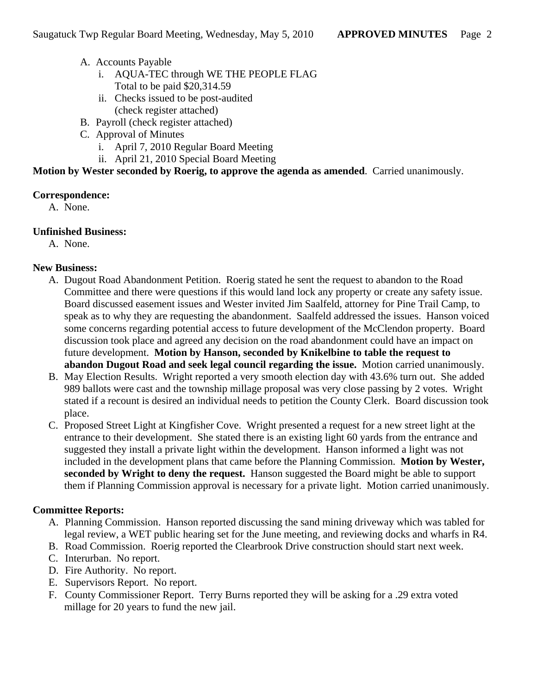- A. Accounts Payable
	- i. AQUA-TEC through WE THE PEOPLE FLAG Total to be paid \$20,314.59
	- ii. Checks issued to be post-audited (check register attached)
- B. Payroll (check register attached)
- C. Approval of Minutes
	- i. April 7, 2010 Regular Board Meeting
	- ii. April 21, 2010 Special Board Meeting

**Motion by Wester seconded by Roerig, to approve the agenda as amended**. Carried unanimously.

## **Correspondence:**

A. None.

## **Unfinished Business:**

A. None.

# **New Business:**

- A. Dugout Road Abandonment Petition. Roerig stated he sent the request to abandon to the Road Committee and there were questions if this would land lock any property or create any safety issue. Board discussed easement issues and Wester invited Jim Saalfeld, attorney for Pine Trail Camp, to speak as to why they are requesting the abandonment. Saalfeld addressed the issues. Hanson voiced some concerns regarding potential access to future development of the McClendon property. Board discussion took place and agreed any decision on the road abandonment could have an impact on future development. **Motion by Hanson, seconded by Knikelbine to table the request to abandon Dugout Road and seek legal council regarding the issue.** Motion carried unanimously.
- B. May Election Results. Wright reported a very smooth election day with 43.6% turn out. She added 989 ballots were cast and the township millage proposal was very close passing by 2 votes. Wright stated if a recount is desired an individual needs to petition the County Clerk. Board discussion took place.
- C. Proposed Street Light at Kingfisher Cove. Wright presented a request for a new street light at the entrance to their development. She stated there is an existing light 60 yards from the entrance and suggested they install a private light within the development. Hanson informed a light was not included in the development plans that came before the Planning Commission. **Motion by Wester, seconded by Wright to deny the request.** Hanson suggested the Board might be able to support them if Planning Commission approval is necessary for a private light. Motion carried unanimously.

# **Committee Reports:**

- A. Planning Commission. Hanson reported discussing the sand mining driveway which was tabled for legal review, a WET public hearing set for the June meeting, and reviewing docks and wharfs in R4.
- B. Road Commission. Roerig reported the Clearbrook Drive construction should start next week.
- C. Interurban. No report.
- D. Fire Authority. No report.
- E. Supervisors Report. No report.
- F. County Commissioner Report. Terry Burns reported they will be asking for a .29 extra voted millage for 20 years to fund the new jail.